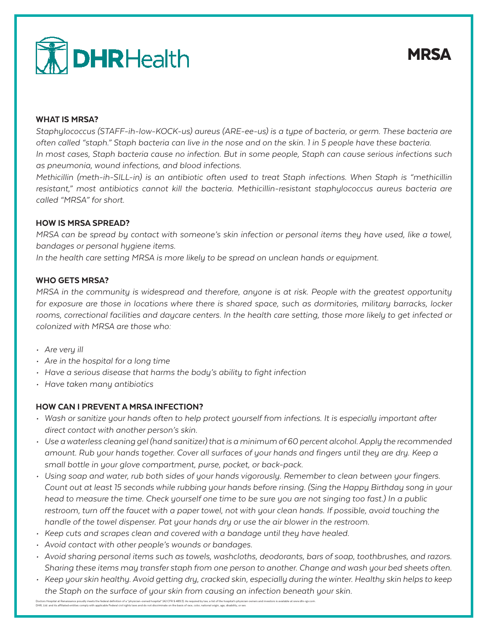

## WHAT IS MRSA?

*Staphylococcus (STAFF-ih-low-KOCK-us) aureus (ARE-ee-us) is a type of bacteria, or germ. These bacteria are often called "staph." Staph bacteria can live in the nose and on the skin. 1 in 5 people have these bacteria. In most cases, Staph bacteria cause no infection. But in some people, Staph can cause serious infections such as pneumonia, wound infections, and blood infections.*

*Methicillin (meth-ih-SILL-in) is an antibiotic often used to treat Staph infections. When Staph is "methicillin*  resistant," most antibiotics cannot kill the bacteria. Methicillin-resistant staphylococcus aureus bacteria are *called "MRSA" for short.*

#### HOW IS MRSA SPREAD?

*MRSA can be spread by contact with someone's skin infection or personal items they have used, like a towel, bandages or personal hygiene items.*

*In the health care setting MRSA is more likely to be spread on unclean hands or equipment.*

## WHO GETS MRSA?

*MRSA in the community is widespread and therefore, anyone is at risk. People with the greatest opportunity for exposure are those in locations where there is shared space, such as dormitories, military barracks, locker*  rooms, correctional facilities and daycare centers. In the health care setting, those more likely to get infected or *colonized with MRSA are those who:*

- *• Are very ill*
- *• Are in the hospital for a long time*
- *• Have a serious disease that harms the body's ability to fight infection*
- *• Have taken many antibiotics*

## HOW CAN I PREVENT A MRSA INFECTION?

- *• Wash or sanitize your hands often to help protect yourself from infections. It is especially important after direct contact with another person's skin.*
- *• Use a waterless cleaning gel (hand sanitizer) that is a minimum of 60 percent alcohol. Apply the recommended amount. Rub your hands together. Cover all surfaces of your hands and fingers until they are dry. Keep a small bottle in your glove compartment, purse, pocket, or back-pack.*
- *• Using soap and water, rub both sides of your hands vigorously. Remember to clean between your fingers. Count out at least 15 seconds while rubbing your hands before rinsing. (Sing the Happy Birthday song in your head to measure the time. Check yourself one time to be sure you are not singing too fast.) In a public restroom, turn off the faucet with a paper towel, not with your clean hands. If possible, avoid touching the handle of the towel dispenser. Pat your hands dry or use the air blower in the restroom.*
- *• Keep cuts and scrapes clean and covered with a bandage until they have healed.*
- *• Avoid contact with other people's wounds or bandages.*
- *• Avoid sharing personal items such as towels, washcloths, deodorants, bars of soap, toothbrushes, and razors. Sharing these items may transfer staph from one person to another. Change and wash your bed sheets often.*
- *• Keep your skin healthy. Avoid getting dry, cracked skin, especially during the winter. Healthy skin helps to keep the Staph on the surface of your skin from causing an infection beneath your skin.*

Doctors Hospital at Renaissance proudly meets the federal definition of a "physician-owned hospital" (42 CFR \$ 489.3). As required by law, a list of the hospital's physician owners and investors is available at www.dhr-rgv DHR, Ltd. and its affiliated entities comply with applicable Federal civil rights laws and do not discriminate on the basis of race, color, national origin, age, disability, or sex.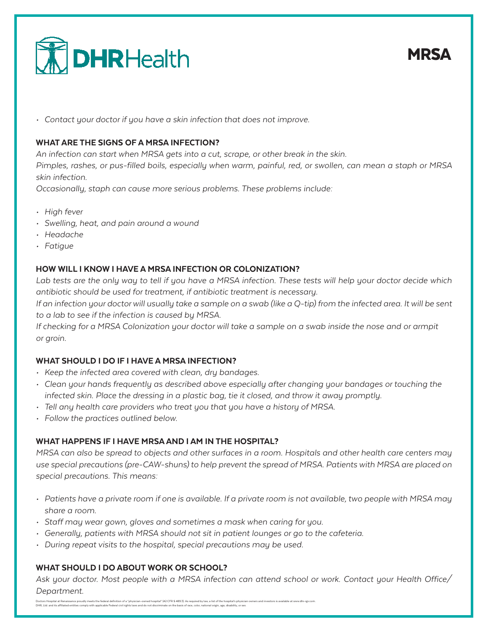

*• Contact your doctor if you have a skin infection that does not improve.*

## WHAT ARE THE SIGNS OF A MRSA INFECTION?

*An infection can start when MRSA gets into a cut, scrape, or other break in the skin.*

*Pimples, rashes, or pus-filled boils, especially when warm, painful, red, or swollen, can mean a staph or MRSA skin infection.*

*Occasionally, staph can cause more serious problems. These problems include:*

- *• High fever*
- *• Swelling, heat, and pain around a wound*
- *• Headache*
- *• Fatigue*

## HOW WILL I KNOW I HAVE A MRSA INFECTION OR COLONIZATION?

Lab tests are the only way to tell if you have a MRSA infection. These tests will help your doctor decide which *antibiotic should be used for treatment, if antibiotic treatment is necessary.*

*If an infection your doctor will usually take a sample on a swab (like a Q-tip) from the infected area. It will be sent to a lab to see if the infection is caused by MRSA.*

*If checking for a MRSA Colonization your doctor will take a sample on a swab inside the nose and or armpit or groin.*

## WHAT SHOULD I DO IF I HAVE A MRSA INFECTION?

- *• Keep the infected area covered with clean, dry bandages.*
- *• Clean your hands frequently as described above especially after changing your bandages or touching the infected skin. Place the dressing in a plastic bag, tie it closed, and throw it away promptly.*
- *• Tell any health care providers who treat you that you have a history of MRSA.*
- *• Follow the practices outlined below.*

## WHAT HAPPENS IF I HAVE MRSA AND I AM IN THE HOSPITAL?

*MRSA can also be spread to objects and other surfaces in a room. Hospitals and other health care centers may use special precautions (pre-CAW-shuns) to help prevent the spread of MRSA. Patients with MRSA are placed on special precautions. This means:*

- *• Patients have a private room if one is available. If a private room is not available, two people with MRSA may share a room.*
- *• Staff may wear gown, gloves and sometimes a mask when caring for you.*
- *• Generally, patients with MRSA should not sit in patient lounges or go to the cafeteria.*
- *• During repeat visits to the hospital, special precautions may be used.*

## WHAT SHOULD I DO ABOUT WORK OR SCHOOL?

*Ask your doctor. Most people with a MRSA infection can attend school or work. Contact your Health Office/ Department.*

# **MRSA**